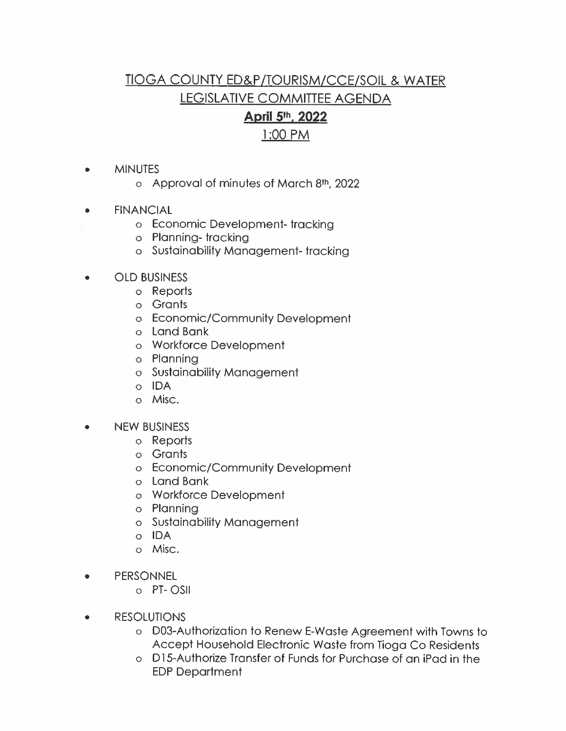## **TIOGA COUNTY ED&P/TOURISM/CCE/SOIL & WATER LEGISLATIVE COMMITTEE AGENDA** April 5th, 2022

## 1:00 PM

- **MINUTES**  $\bullet$ 
	- o Approval of minutes of March 8th, 2022
- **FINANCIAL**  $\bullet$ 
	- o Economic Development-tracking
	- o Planning-tracking
	- o Sustainability Management-tracking
- **OLD BUSINESS** 
	- o Reports
	- o Grants
	- o Economic/Community Development
	- o Land Bank
	- o Workforce Development
	- o Planning
	- o Sustainability Management
	- o IDA
	- o Misc.
- **NEW BUSINESS**  $\bullet$ 
	- o Reports
	- o Grants
	- o Economic/Community Development
	- o Land Bank
	- o Workforce Development
	- o Planning
	- o Sustainability Management
	- o IDA
	- o Misc.
- **PERSONNEL**  $\bullet$ 
	- o PT-OSII
- **RESOLUTIONS**  $\bullet$ 
	- o D03-Authorization to Renew E-Waste Agreement with Towns to Accept Household Electronic Waste from Tioga Co Residents
	- o D15-Authorize Transfer of Funds for Purchase of an iPad in the **EDP Department**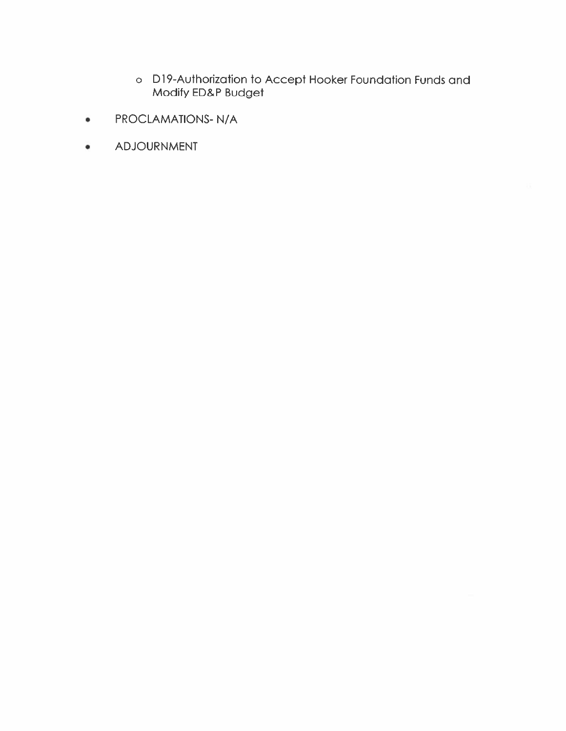- o D19-Authorization to Accept Hooker Foundation Funds and<br>Modify ED&P Budget
- PROCLAMATIONS-N/A ٠
- ADJOURNMENT ۰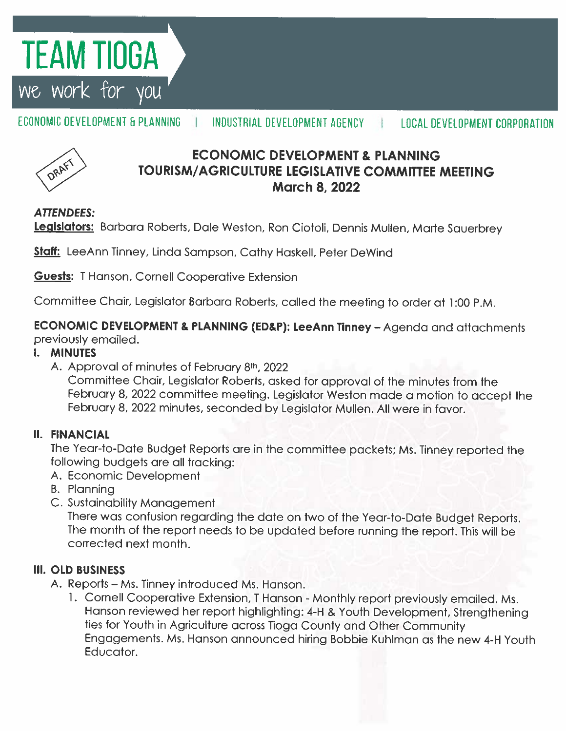# TEAM TIOGA we work for

ECONOMIC DEVELOPMENT & PLANNING INDUSTRIAL DEVELOPMENT AGENCY **LOCAL DEVELOPMENT CORPORATION** 



## **ECONOMIC DEVELOPMENT & PLANNING TOURISM/AGRICULTURE LEGISLATIVE COMMITTEE MEETING March 8, 2022**

### **ATTENDEES:**

Legislators: Barbara Roberts, Dale Weston, Ron Ciotoli, Dennis Mullen, Marte Sauerbrey

Staff: LeeAnn Tinney, Linda Sampson, Cathy Haskell, Peter DeWind

**Guests:** T Hanson, Cornell Cooperative Extension

Committee Chair, Legislator Barbara Roberts, called the meeting to order at 1:00 P.M.

ECONOMIC DEVELOPMENT & PLANNING (ED&P): LeeAnn Tinney - Agenda and attachments previously emailed.

### **I. MINUTES**

A. Approval of minutes of February 8th, 2022

Committee Chair, Legislator Roberts, asked for approval of the minutes from the February 8, 2022 committee meeting. Legislator Weston made a motion to accept the February 8, 2022 minutes, seconded by Legislator Mullen. All were in favor.

### **II. FINANCIAL**

The Year-to-Date Budget Reports are in the committee packets; Ms. Tinney reported the following budgets are all tracking:

- A. Economic Development
- **B.** Planning
- C. Sustainability Management

There was confusion regarding the date on two of the Year-to-Date Budget Reports. The month of the report needs to be updated before running the report. This will be corrected next month.

### **III. OLD BUSINESS**

- A. Reports Ms. Tinney introduced Ms. Hanson.
	- 1. Cornell Cooperative Extension, T Hanson Monthly report previously emailed. Ms. Hanson reviewed her report highlighting: 4-H & Youth Development, Strengthening ties for Youth in Agriculture across Tioga County and Other Community Engagements. Ms. Hanson announced hiring Bobbie Kuhlman as the new 4-H Youth Educator.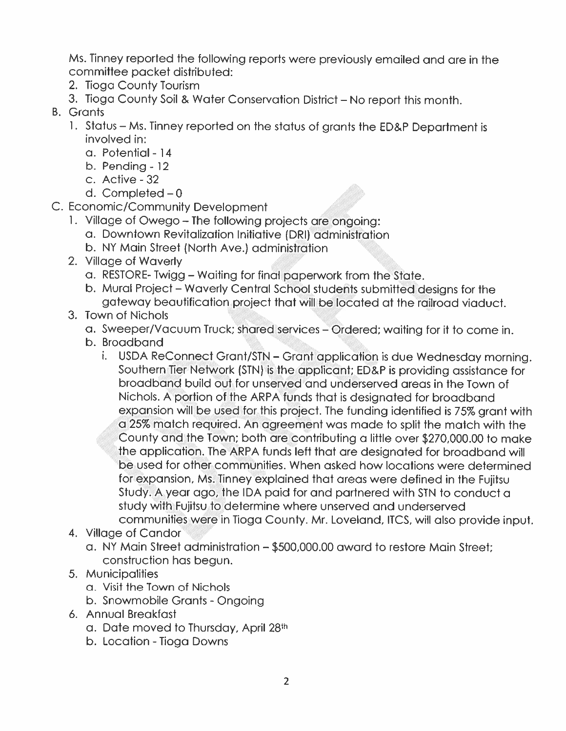Ms. Tinney reported the following reports were previously emailed and are in the committee packet distributed:

- 2. Tioga County Tourism
- 3. Tioga County Soil & Water Conservation District No report this month.
- **B.** Grants
	- 1. Status Ms. Tinney reported on the status of grants the ED&P Department is involved in:
		- a. Potential 14
		- b. Pending  $-12$
		- c. Active 32
		- d. Completed  $-0$
- C. Economic/Community Development
	- 1. Village of Owego The following projects are ongoing:
		- a. Downtown Revitalization Initiative (DRI) administration
		- b. NY Main Street (North Ave.) administration
	- 2. Village of Waverly
		- a. RESTORE- Twigg Waiting for final paperwork from the State.
		- b. Mural Project Waverly Central School students submitted designs for the gateway beautification project that will be located at the railroad viaduct.
	- 3. Town of Nichols
		- a. Sweeper/Vacuum Truck; shared services Ordered; waiting for it to come in.
		- b. Broadband
			- i. USDA ReConnect Grant/STN Grant application is due Wednesday morning. Southern Tier Network (STN) is the applicant; ED&P is providing assistance for broadband build out for unserved and underserved areas in the Town of Nichols. A portion of the ARPA funds that is designated for broadband expansion will be used for this project. The funding identified is 75% grant with a 25% match required. An agreement was made to split the match with the County and the Town; both are contributing a little over \$270,000.00 to make the application. The ARPA funds left that are designated for broadband will be used for other communities. When asked how locations were determined for expansion, Ms. Tinney explained that areas were defined in the Fujitsu Study. A year ago, the IDA paid for and partnered with STN to conduct a study with Fujitsu to determine where unserved and underserved communities were in Tioga County. Mr. Loveland, ITCS, will also provide input.
	- 4. Village of Candor
		- a. NY Main Street administration \$500,000.00 award to restore Main Street; construction has begun.
	- 5. Municipalities
		- a. Visit the Town of Nichols
		- b. Snowmobile Grants Ongoing
	- 6. Annual Breakfast
		- a. Date moved to Thursday, April 28th
		- b. Location Tioga Downs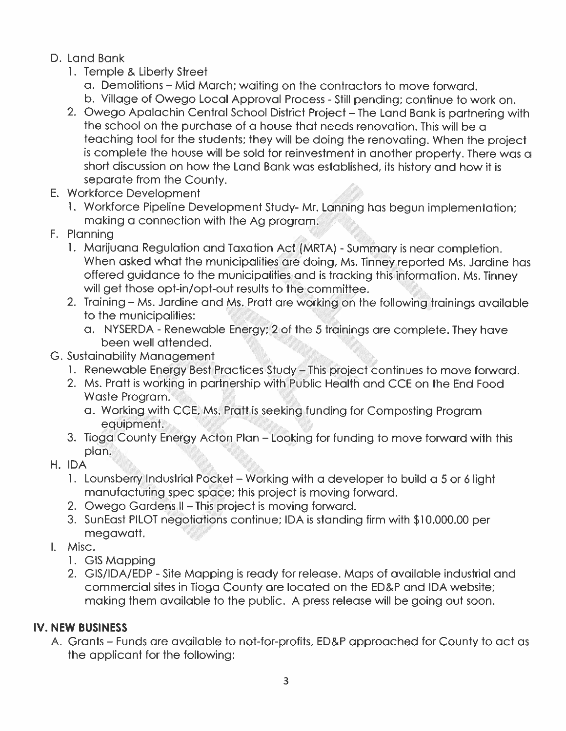### D. Land Bank

- 1. Temple & Liberty Street
	- a. Demolitions Mid March; waiting on the contractors to move forward.
	- b. Village of Owego Local Approval Process Still pending; continue to work on.
- 2. Owego Apalachin Central School District Project The Land Bank is partnering with the school on the purchase of a house that needs renovation. This will be a teaching tool for the students; they will be doing the renovating. When the project is complete the house will be sold for reinvestment in another property. There was a short discussion on how the Land Bank was established, its history and how it is separate from the County.
- E. Workforce Development
	- 1. Workforce Pipeline Development Study-Mr. Lanning has begun implementation; making a connection with the Ag program.
- F. Planning
	- 1. Marijuana Regulation and Taxation Act (MRTA) Summary is near completion. When asked what the municipalities are doing, Ms. Tinney reported Ms. Jardine has offered guidance to the municipalities and is tracking this information. Ms. Tinney will get those opt-in/opt-out results to the committee.
	- 2. Training Ms. Jardine and Ms. Pratt are working on the following trainings available to the municipalities:
		- a. NYSERDA Renewable Energy; 2 of the 5 trainings are complete. They have been well attended.
- G. Sustainability Management
	- 1. Renewable Energy Best Practices Study This project continues to move forward.
	- 2. Ms. Pratt is working in partnership with Public Health and CCE on the End Food Waste Proaram.
		- a. Working with CCE, Ms. Pratt is seeking funding for Composting Program equipment.
	- 3. Tioga County Energy Acton Plan Looking for funding to move forward with this plan.
- H. IDA
	- 1. Lounsberry Industrial Pocket Working with a developer to build a 5 or 6 light manufacturing spec space; this project is moving forward.
	- 2. Owego Gardens II This project is moving forward.
	- 3. SunEast PILOT negotiations continue; IDA is standing firm with \$10,000.00 per megawatt.
- I. Misc.
	- 1. GIS Mapping
	- 2. GIS/IDA/EDP Site Mapping is ready for release. Maps of available industrial and commercial sites in Tioga County are located on the ED&P and IDA website; making them available to the public. A press release will be going out soon.

## **IV. NEW BUSINESS**

A. Grants – Funds are available to not-for-profits, ED&P approached for County to act as the applicant for the following: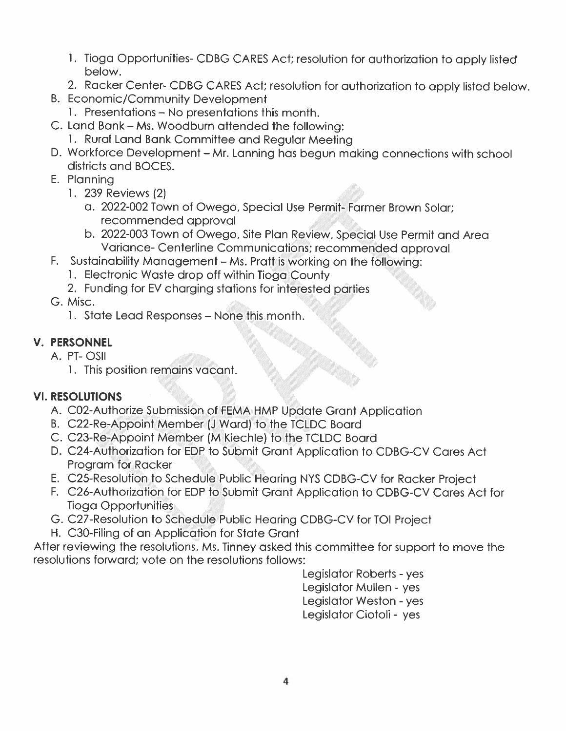- 1. Tioga Opportunities-CDBG CARES Act; resolution for authorization to apply listed below.
- 2. Racker Center- CDBG CARES Act; resolution for authorization to apply listed below.
- **B. Economic/Community Development** 
	- 1. Presentations No presentations this month.
- C. Land Bank Ms. Woodburn attended the following:
	- 1. Rural Land Bank Committee and Regular Meeting
- D. Workforce Development Mr. Lanning has begun making connections with school districts and BOCES.
- E. Plannina
	- 1. 239 Reviews (2)
		- a. 2022-002 Town of Owego, Special Use Permit-Farmer Brown Solar; recommended approval
		- b. 2022-003 Town of Owego, Site Plan Review, Special Use Permit and Area Variance- Centerline Communications; recommended approval
- F. Sustainability Management Ms. Prattis working on the following:
	- 1. Electronic Waste drop off within Tioga County
	- 2. Funding for EV charging stations for interested parties
- G. Misc.
	- 1. State Lead Responses None this month.

## **V. PERSONNEL**

- A. PT-OSII
	- 1. This position remains vacant.

## **VI. RESOLUTIONS**

- A. C02-Authorize Submission of FEMA HMP Update Grant Application
- B. C22-Re-Appoint Member (J Ward) to the TCLDC Board
- C. C23-Re-Appoint Member (M Kiechle) to the TCLDC Board
- D. C24-Authorization for EDP to Submit Grant Application to CDBG-CV Cares Act Program for Racker
- E. C25-Resolution to Schedule Public Hearing NYS CDBG-CV for Racker Project
- F. C26-Authorization for EDP to Submit Grant Application to CDBG-CV Cares Act for **Tioga Opportunities**
- G. C27-Resolution to Schedule Public Hearing CDBG-CV for TOI Project
- H. C30-Filing of an Application for State Grant

After reviewing the resolutions, Ms. Tinney asked this committee for support to move the resolutions forward: vote on the resolutions follows:

> Legislator Roberts - yes Legislator Mullen - yes Legislator Weston - yes Legislator Ciotoli - yes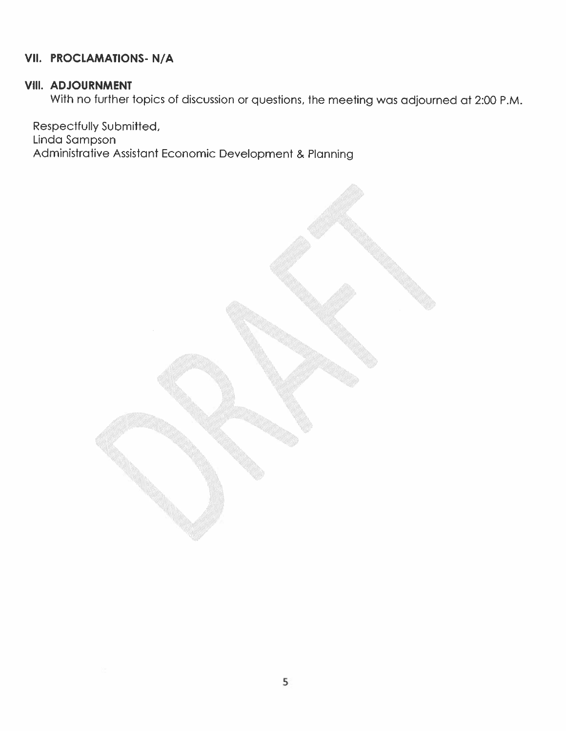### VII. PROCLAMATIONS-N/A

### VIII. ADJOURNMENT

With no further topics of discussion or questions, the meeting was adjourned at 2:00 P.M.

Respectfully Submitted, Linda Sampson Administrative Assistant Economic Development & Planning

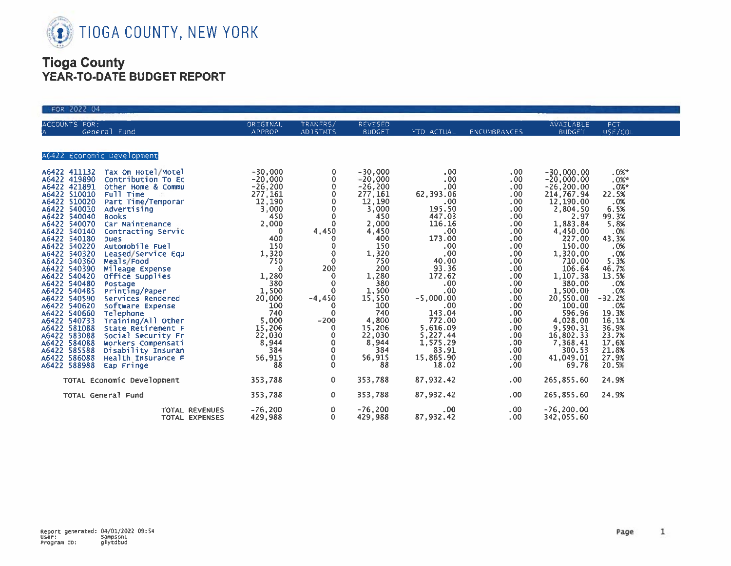

| FOR 2022 04                                                                                                                                                                                                                                                                                                                                                                                                                                                                                                                                                                                                                                                                                                                                                                                                                                                                                                                                                             |                                                                                                                                                                                                                                                                                                  |                                                                                                                                                                                                                                                                            |                                                                                                                                                                                                                                               |                                                                                                                                                                                                                                                                                                               |                                                                                                                                                                                                                                              |                                                                                                                                                                                                                                                                                                          |                                                                                                                                                                                                                                       |
|-------------------------------------------------------------------------------------------------------------------------------------------------------------------------------------------------------------------------------------------------------------------------------------------------------------------------------------------------------------------------------------------------------------------------------------------------------------------------------------------------------------------------------------------------------------------------------------------------------------------------------------------------------------------------------------------------------------------------------------------------------------------------------------------------------------------------------------------------------------------------------------------------------------------------------------------------------------------------|--------------------------------------------------------------------------------------------------------------------------------------------------------------------------------------------------------------------------------------------------------------------------------------------------|----------------------------------------------------------------------------------------------------------------------------------------------------------------------------------------------------------------------------------------------------------------------------|-----------------------------------------------------------------------------------------------------------------------------------------------------------------------------------------------------------------------------------------------|---------------------------------------------------------------------------------------------------------------------------------------------------------------------------------------------------------------------------------------------------------------------------------------------------------------|----------------------------------------------------------------------------------------------------------------------------------------------------------------------------------------------------------------------------------------------|----------------------------------------------------------------------------------------------------------------------------------------------------------------------------------------------------------------------------------------------------------------------------------------------------------|---------------------------------------------------------------------------------------------------------------------------------------------------------------------------------------------------------------------------------------|
| ACCOUNTS FOR:<br>General Fund<br>ίA                                                                                                                                                                                                                                                                                                                                                                                                                                                                                                                                                                                                                                                                                                                                                                                                                                                                                                                                     | ORIGINAL<br>APPROP                                                                                                                                                                                                                                                                               | TRANFRS/<br><b>ADJSTMTS</b>                                                                                                                                                                                                                                                | REVISED<br><b>BUDGET</b>                                                                                                                                                                                                                      | YTD ACTUAL                                                                                                                                                                                                                                                                                                    | ENCUMBRANCES                                                                                                                                                                                                                                 | AVAILABLE<br><b>BUDGET</b>                                                                                                                                                                                                                                                                               | PCT.<br>USE/COL                                                                                                                                                                                                                       |
| A6422 Economic Development                                                                                                                                                                                                                                                                                                                                                                                                                                                                                                                                                                                                                                                                                                                                                                                                                                                                                                                                              |                                                                                                                                                                                                                                                                                                  |                                                                                                                                                                                                                                                                            |                                                                                                                                                                                                                                               |                                                                                                                                                                                                                                                                                                               |                                                                                                                                                                                                                                              |                                                                                                                                                                                                                                                                                                          |                                                                                                                                                                                                                                       |
| A6422 411132 Tax On Hotel/Motel<br>A6422 419890<br>Contribution To Ec<br>A6422 421891<br>Other Home & Commu<br>A6422 510010<br>Full Time<br>Part Time/Temporar<br>A6422 510020<br>A6422 540010<br>Advertising<br>A6422 540040<br><b>Books</b><br>A6422 540070<br>Car Maintenance<br>A6422 540140<br>Contracting Servic<br>A6422 540180<br><b>Dues</b><br>A6422 540220<br>Automobile Fuel<br>A6422 540320<br>Leased/Service Equ<br>A6422 540360<br>Meals/Food<br>A6422 540390<br>Mileage Expense<br>A6422 540420<br>Office Supplies<br>A6422 540480<br>Postage<br>A6422 540485<br>Printing/Paper<br>A6422 540590<br>Services Rendered<br>A6422 540620<br>Software Expense<br>A6422 540660<br>Telephone<br>A6422 540733<br>Training/All Other<br>A6422 581088<br>State Retirement F<br>A6422 583088<br>Social Security Fr<br>A6422 584088<br>Workers Compensati<br>A6422 585588<br>Disability Insuran<br>A6422 586088<br>Health Insurance F<br>A6422 588988<br>Eap Fringe | $-30,000$<br>$-20,000$<br>$-26,200$<br>277,161<br>12,190<br>3,000<br>450<br>2,000<br>$\overline{\phantom{0}}$<br>400<br>150<br>1,320<br>750<br>$\mathbf 0$<br>1,280<br>380<br>1,500<br>20,000<br>100<br>740<br>$\frac{5,000}{15,206}$<br>$\frac{22,030}{22,030}$<br>8,944<br>384<br>56,915<br>88 | 0<br>$\mathbf 0$<br>$\mathbf 0$<br>$\circ$<br>0<br>$_{\rm 0}^{\rm 0}$<br>$\mathbf{0}$<br>4,450<br>$\theta$<br>0<br>$\mathbf 0$<br>$\circ$<br>200<br>$\mathbf 0$<br>$\mathbf 0$<br>$\Omega$<br>$-4,450$<br>$\Omega$<br>$-200$<br>0<br>0<br>0<br>$\mathbf 0$<br>0<br>$\circ$ | $-30,000$<br>$-20,000$<br>$-26,200$<br>277,161<br>12,190<br>3,000<br>450<br>2,000<br>4,450<br>400<br>150<br>1,320<br>750<br>200<br>1,280<br>380<br>1,500<br>15,550<br>100<br>740<br>4,800<br>15,206<br>22,030<br>8,944<br>384<br>56,915<br>88 | $.00 \,$<br>$.00 \,$<br>$.00 \,$<br>62,393.06<br>.00 <sub>1</sub><br>195.50<br>447.03<br>116.16<br>.00 <sub>1</sub><br>173.00<br>$.00 \,$<br>.00<br>40.00<br>$93.36$<br>172.62<br>.00.<br>.00<br>$-5,000.00$<br>.00.<br>143.04<br>772.00<br>5,616.09<br>$5,227.44$<br>1,575.29<br>83.91<br>15,865.90<br>18.02 | .00.<br>.00<br>.00<br>.00<br>.00 <sub>1</sub><br>.00<br>.00<br>.00<br>.00<br>.00<br>$.00$<br>$.00$<br>.00<br>.00<br>$.00$<br>$.00$<br>.00.<br>$0.00$<br>$0.00$<br>$0.00$<br>.00<br>.00<br>.00 <sub>1</sub><br>.00<br>.00<br>$.00 \,$<br>.00. | $-30,000.00$<br>$-20,000.00$<br>$-26, 200.00$<br>214,767.94<br>12,190.00<br>2,804.50<br>2.97<br>1,883.84<br>4,450.00<br>150.00<br>1,320.00<br>710.00<br>106.64<br>1,107.38<br>1,500.00<br>20,550.00<br>100.00<br>596.96<br>4,028.00<br>9,590.31<br>16,802.33<br>7,368.41<br>300.53<br>41,049.01<br>69.78 | .0%<br>.0%<br>$.0\%$ *<br>22.5%<br>$-0.08$<br>6.5%<br>9.3%<br>9.8%<br>.0%<br>43.3%<br>.0%<br>$.08$<br>5.3%<br>46.7%<br>13.5%<br>.0%<br>.0%<br>$-32.2%$<br>.0%<br>19.3%<br>16.1%<br>36.9%<br>23.7%<br>17.6%<br>21.8%<br>27.9%<br>20.5% |
| TOTAL Economic Development                                                                                                                                                                                                                                                                                                                                                                                                                                                                                                                                                                                                                                                                                                                                                                                                                                                                                                                                              | 353,788                                                                                                                                                                                                                                                                                          | $\mathbf{O}$                                                                                                                                                                                                                                                               | 353,788                                                                                                                                                                                                                                       | 87,932.42                                                                                                                                                                                                                                                                                                     | .00 <sub>1</sub>                                                                                                                                                                                                                             | 265,855.60                                                                                                                                                                                                                                                                                               | 24.9%                                                                                                                                                                                                                                 |
| TOTAL General Fund                                                                                                                                                                                                                                                                                                                                                                                                                                                                                                                                                                                                                                                                                                                                                                                                                                                                                                                                                      | 353,788                                                                                                                                                                                                                                                                                          | $\circ$                                                                                                                                                                                                                                                                    | 353,788                                                                                                                                                                                                                                       | 87,932.42                                                                                                                                                                                                                                                                                                     | .00 <sub>1</sub>                                                                                                                                                                                                                             | 265,855.60                                                                                                                                                                                                                                                                                               | 24.9%                                                                                                                                                                                                                                 |
| <b>TOTAL REVENUES</b><br>TOTAL EXPENSES                                                                                                                                                                                                                                                                                                                                                                                                                                                                                                                                                                                                                                                                                                                                                                                                                                                                                                                                 | $-76,200$<br>429,988                                                                                                                                                                                                                                                                             | 0<br>$\mathbf{0}$                                                                                                                                                                                                                                                          | $-76,200$<br>429,988                                                                                                                                                                                                                          | .00<br>87,932.42                                                                                                                                                                                                                                                                                              | .00.<br>.00                                                                                                                                                                                                                                  | $-76, 200.00$<br>342,055.60                                                                                                                                                                                                                                                                              |                                                                                                                                                                                                                                       |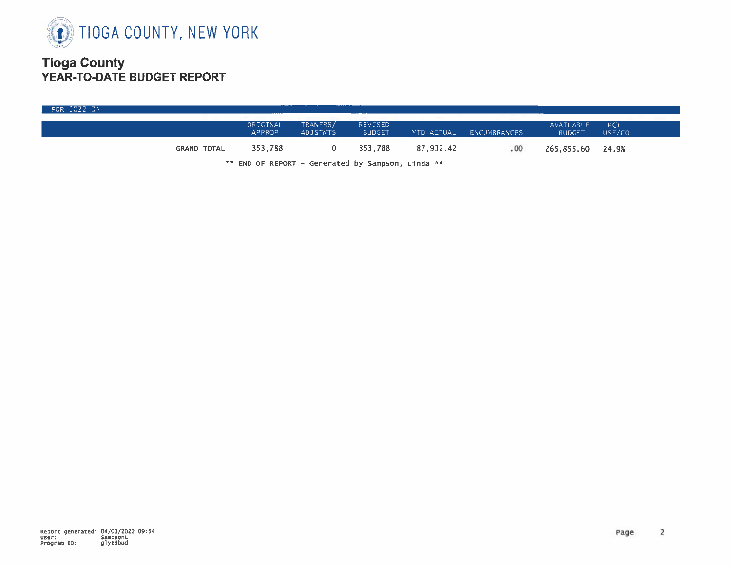

| FOR 2022 04 |                    |                    |                             |                          |           |                         |                            |                |  |
|-------------|--------------------|--------------------|-----------------------------|--------------------------|-----------|-------------------------|----------------------------|----------------|--|
|             |                    | ORIGINAL<br>APPROP | TRANFRS/<br><b>ADJSTMTS</b> | REVISED<br><b>BUDGET</b> |           | YTD ACTUAL ENCUMBRANCES | AVAILABLE<br><b>BUDGET</b> | PCT<br>USE/COL |  |
|             | <b>GRAND TOTAL</b> | 353,788            |                             | 353.788                  | 87.932.42 | . 00                    | 265,855.60 24.9%           |                |  |

\*\* END OF REPORT - Generated by Sampson, Linda \*\*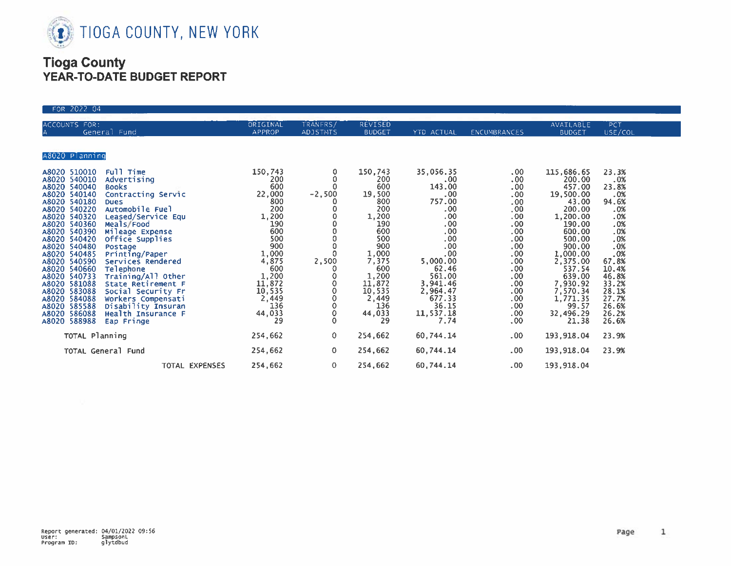

| FOR 2022 04                                                                                                                                                                                                                                                                                                                                                                                                                                                                                                                                                                                                                                                                                                                                 |                                                                                                                                                                                      |                                                              |                                                                                                                                                                                                     |                                                                                                                                                                                   |                                                                                                                                                                                                                                   |                                                                                                                                                                                                                                   |                                                                                                                                                                                 |
|---------------------------------------------------------------------------------------------------------------------------------------------------------------------------------------------------------------------------------------------------------------------------------------------------------------------------------------------------------------------------------------------------------------------------------------------------------------------------------------------------------------------------------------------------------------------------------------------------------------------------------------------------------------------------------------------------------------------------------------------|--------------------------------------------------------------------------------------------------------------------------------------------------------------------------------------|--------------------------------------------------------------|-----------------------------------------------------------------------------------------------------------------------------------------------------------------------------------------------------|-----------------------------------------------------------------------------------------------------------------------------------------------------------------------------------|-----------------------------------------------------------------------------------------------------------------------------------------------------------------------------------------------------------------------------------|-----------------------------------------------------------------------------------------------------------------------------------------------------------------------------------------------------------------------------------|---------------------------------------------------------------------------------------------------------------------------------------------------------------------------------|
| ACCOUNTS FOR:<br>General Fund                                                                                                                                                                                                                                                                                                                                                                                                                                                                                                                                                                                                                                                                                                               | ORIGINAL<br><b>APPROP</b>                                                                                                                                                            | TRANFRS/<br><b>ADJSTMTS</b>                                  | REVISED<br><b>BUDGET</b>                                                                                                                                                                            | YTD ACTUAL                                                                                                                                                                        | <b>ENCUMBRANCES</b>                                                                                                                                                                                                               | AVAILABLE<br><b>BUDGET</b>                                                                                                                                                                                                        | PCT<br>USE/COL                                                                                                                                                                  |
| A8020 Planning                                                                                                                                                                                                                                                                                                                                                                                                                                                                                                                                                                                                                                                                                                                              |                                                                                                                                                                                      |                                                              |                                                                                                                                                                                                     |                                                                                                                                                                                   |                                                                                                                                                                                                                                   |                                                                                                                                                                                                                                   |                                                                                                                                                                                 |
| Full Time<br>A8020 510010<br>A8020 540010<br>Advertising<br>A8020 540040<br><b>Books</b><br>A8020 540140<br>Contracting Servic<br>A8020 540180<br><b>Dues</b><br>Automobile Fuel<br>A8020 540220<br>A8020 540320<br>Leased/Service Equ<br>A8020 540360<br>Meals/Food<br>A8020 540390<br>Mileage Expense<br>A8020 540420<br>Office Supplies<br>A8020 540480<br>Postage<br>A8020 540485<br>Printing/Paper<br>A8020 540590<br>Services Rendered<br>A8020 540660<br>Telephone<br>A8020 540733<br>Training/All Other<br>A8020 581088<br>State Retirement F<br>A8020 583088<br>Social Security Fr<br>A8020 584088<br>Workers Compensati<br>A8020 585588<br>Disability Insuran<br>Health Insurance F<br>A8020 586088<br>A8020 588988<br>Eap Fringe | 150,743<br>200<br>600<br>22,000<br>800<br>200<br>1,200<br>190<br>600<br>500<br>900<br>$1,000$<br>$4,875$<br>$600$<br>$1,200$<br>$11,872$<br>$10,535$<br>2,449<br>136<br>44,033<br>29 | 0<br>0<br>$\mathbf 0$<br>$-2,500$<br>2,500<br>$\overline{0}$ | 150,743<br>200<br>600<br>19,500<br>800<br>200<br>1,200<br>190<br>600<br>500<br>900<br>$\frac{1}{7}, \frac{000}{375}$<br>600<br>$1,200$<br>11,872<br>10,535<br>2,449<br>2,449<br>136<br>44,033<br>29 | 35,056.35<br>.00<br>143.00<br>.00<br>757.00<br>.00<br>.00<br>.00<br>.00<br>.00<br>.00<br>.00<br>5,000.00<br>62.46<br>561.00<br>3,941.46<br>2,964.47<br>36.15<br>11,537.18<br>7.74 | $.00 \times$<br>$.00 \times$<br>.00<br>.00.00<br>$\frac{0}{0}$<br>.00<br>.00 <sub>1</sub><br>.00 <sub>1</sub><br>$.00$<br>$.00$<br>.00<br>$.00$<br>$.00$<br>$\begin{array}{c} .00 \\ .00 \\ .00 \end{array}$<br>.00<br>.00<br>.00 | 115,686.65<br>200.00<br>457.00<br>19,500.00<br>43.00<br>200.00<br>1,200.00<br>190.00<br>600.00<br>500.00<br>900.00<br>1,000.00<br>2,375.00<br>537.54<br>639.00<br>7,930.92<br>7,570.34<br>1,771.35<br>99.57<br>32,496.29<br>21.38 | 23.3%<br>.0%<br>23.8%<br>$-2.0%$<br>94.6%<br>.0%<br>.0%<br>.0%<br>.0%<br>$.0%$<br>$.0%$<br>.0%<br>67.8%<br>10.4%<br>46.8%<br>33.2%<br>28.1%<br>27.7%<br>26.6%<br>26.2%<br>26.6% |
| TOTAL Planning                                                                                                                                                                                                                                                                                                                                                                                                                                                                                                                                                                                                                                                                                                                              | 254,662                                                                                                                                                                              | $\mathbf{0}$                                                 | 254,662                                                                                                                                                                                             | 60,744.14                                                                                                                                                                         | .00                                                                                                                                                                                                                               | 193,918.04                                                                                                                                                                                                                        | 23.9%                                                                                                                                                                           |
| TOTAL General Fund                                                                                                                                                                                                                                                                                                                                                                                                                                                                                                                                                                                                                                                                                                                          | 254,662                                                                                                                                                                              | $\circ$                                                      | 254,662                                                                                                                                                                                             | 60,744.14                                                                                                                                                                         | .00                                                                                                                                                                                                                               | 193,918.04                                                                                                                                                                                                                        | 23.9%                                                                                                                                                                           |
| TOTAL EXPENSES                                                                                                                                                                                                                                                                                                                                                                                                                                                                                                                                                                                                                                                                                                                              | 254,662                                                                                                                                                                              | $\overline{0}$                                               | 254,662                                                                                                                                                                                             | 60,744.14                                                                                                                                                                         | .00.                                                                                                                                                                                                                              | 193,918.04                                                                                                                                                                                                                        |                                                                                                                                                                                 |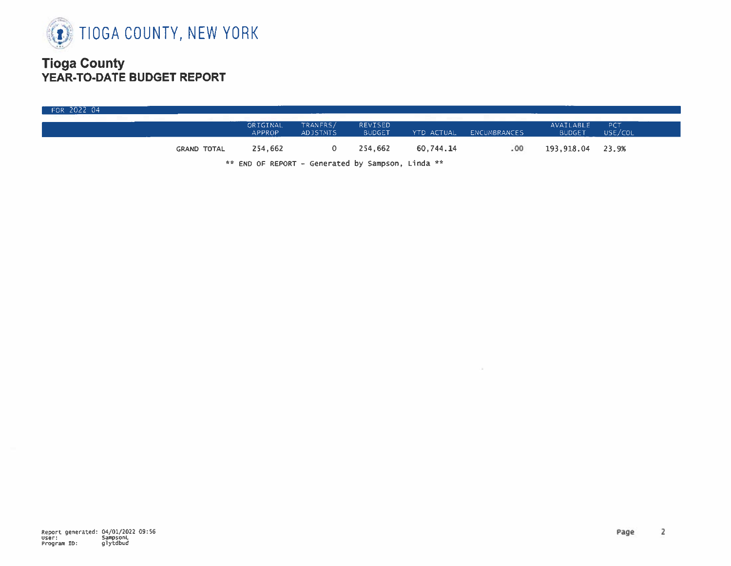

|                    | ORIGINAL<br><b>APPROP</b> | TRANFRS/<br><b>ADJSTNTS</b> | <b>REVISED</b><br><b>BUDGET</b> | the company of the company of | YTD ACTUAL ENCUMBRANCES | AVAILABLE<br><b>BUDGET</b> | PCT<br>USE/COL |
|--------------------|---------------------------|-----------------------------|---------------------------------|-------------------------------|-------------------------|----------------------------|----------------|
| <b>GRAND TOTAL</b> | 254,662                   |                             | 254,662                         | 60.744.14                     | .00.                    | 193,918.04 23.9%           |                |

 $\sim 10^{-1}$ 

\*\* END OF REPORT - Generated by Sampson, Linda \*\*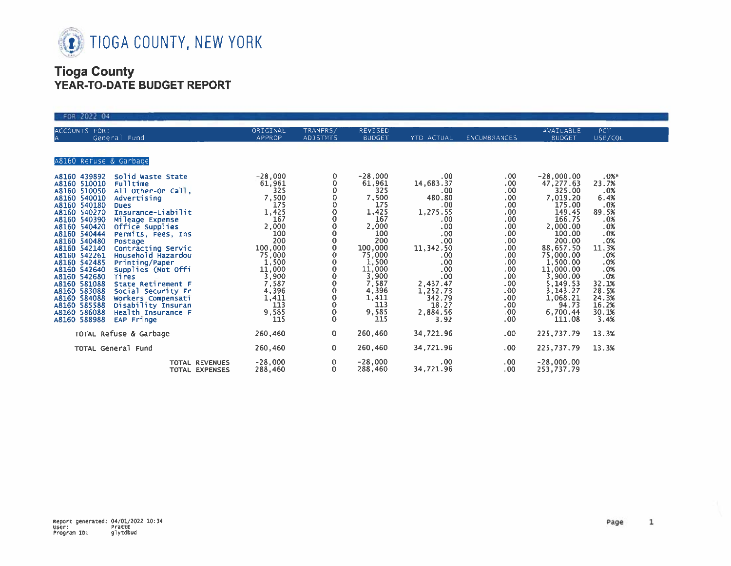

| FOR 2022 04                                                                                                                                                                                                                                                                                                                                                                                                                                                                                                                                                                                                                                                                                                                                                                   |                                                                                                                                                                                             |                                                                                                                                                                                  |                                                                                                                                                                                             |                                                                                                                                                                                                         |                                                                                                                                                                                 |                                                                                                                                                                                                                                                 |                                                                                                                                                                       |
|-------------------------------------------------------------------------------------------------------------------------------------------------------------------------------------------------------------------------------------------------------------------------------------------------------------------------------------------------------------------------------------------------------------------------------------------------------------------------------------------------------------------------------------------------------------------------------------------------------------------------------------------------------------------------------------------------------------------------------------------------------------------------------|---------------------------------------------------------------------------------------------------------------------------------------------------------------------------------------------|----------------------------------------------------------------------------------------------------------------------------------------------------------------------------------|---------------------------------------------------------------------------------------------------------------------------------------------------------------------------------------------|---------------------------------------------------------------------------------------------------------------------------------------------------------------------------------------------------------|---------------------------------------------------------------------------------------------------------------------------------------------------------------------------------|-------------------------------------------------------------------------------------------------------------------------------------------------------------------------------------------------------------------------------------------------|-----------------------------------------------------------------------------------------------------------------------------------------------------------------------|
| ACCOUNTS FOR:<br>General Fund                                                                                                                                                                                                                                                                                                                                                                                                                                                                                                                                                                                                                                                                                                                                                 | ORIGINAL<br>APPROP                                                                                                                                                                          | TRANFRS/<br><b>ADJSTMTS</b>                                                                                                                                                      | REVISED<br><b>BUDGET</b>                                                                                                                                                                    | YTD ACTUAL                                                                                                                                                                                              | ENCUMBRANCES                                                                                                                                                                    | AVAILABLE<br><b>BUDGET</b>                                                                                                                                                                                                                      | PCT<br>USE/COL                                                                                                                                                        |
| A8160 Refuse & Garbage                                                                                                                                                                                                                                                                                                                                                                                                                                                                                                                                                                                                                                                                                                                                                        |                                                                                                                                                                                             |                                                                                                                                                                                  |                                                                                                                                                                                             |                                                                                                                                                                                                         |                                                                                                                                                                                 |                                                                                                                                                                                                                                                 |                                                                                                                                                                       |
| A8160 439892<br>Solid Waste State<br>A8160 510010<br><b>Fulltime</b><br>A8160 510050<br>All Other-On Call,<br>A8160 540010<br>Advertising<br>A8160 540180<br><b>Dues</b><br>A8160 540270<br>Insurance-Liabilit<br>A8160 540390<br>Mileage Expense<br>A8160 540420<br>Office Supplies<br>A8160 540444<br>Permits, Fees, Ins.<br>A8160 540480<br>Postage<br>A8160 542140<br>Contracting Servic<br>Household Hazardou<br>A8160 542261<br>A8160 542485<br>Printing/Paper<br>A8160 542640<br>Supplies (Not Offi<br>A8160 542680<br><b>Tires</b><br>A8160 581088<br>State Retirement F<br>A8160 583088<br>Social Security Fr<br>A8160 584088<br>Workers Compensati<br>A8160 585588<br>Disability Insuran<br>A8160 586088<br>Health Insurance F<br>A8160 588988<br><b>EAP Fringe</b> | $-28,000$<br>61,961<br>325<br>7,500<br>175<br>1,425<br>167<br>2,000<br>100<br>200<br>100,000<br>75,000<br>1,500<br>$\frac{11,000}{3,900}$<br>7,587<br>4,396<br>1,411<br>113<br>9,585<br>115 | 0<br>0<br>$\mathbf 0$<br>0<br>0<br>0<br>0<br>0<br>0<br>$\bf{0}$<br>$\mathbf 0$<br>$\mathbf 0$<br>0<br>0<br>0<br>$\mathbf 0$<br>$\circ$<br>$\circ$<br>$\mathbf{o}$<br>$\mathbf 0$ | $-28,000$<br>61,961<br>325<br>7,500<br>175<br>1,425<br>167<br>2,000<br>100<br>200<br>100,000<br>75,000<br>1,500<br>$\frac{11,000}{3,900}$<br>7,587<br>4,396<br>1,411<br>113<br>9,585<br>115 | .00<br>14,683.37<br>.00<br>480.80<br>.00 <sub>1</sub><br>1,275.55<br>.00<br>.00<br>.00<br>.00.<br>11,342.50<br>.00.<br>.00<br>.00<br>.00<br>2,437.47<br>1,252.73<br>342.79<br>18.27<br>2.884.56<br>3.92 | .00.<br>.00.<br>.00 <sub>1</sub><br>.00.<br>.00.<br>.00.<br>.00<br>.00.<br>.00 <sub>1</sub><br>.00<br>.00<br>.00<br>.00<br>.00<br>.00<br>.00<br>.00<br>.00<br>.00<br>.00<br>.00 | $-28,000.00$<br>47,277.63<br>325.00<br>7,019.20<br>175.00<br>149.45<br>166.75<br>2,000.00<br>100.00<br>200.00<br>88,657.50<br>75,000.00<br>1,500.00<br>11,000.00<br>3,900.00<br>5,149.53<br>3,143.27<br>1,068.21<br>94.73<br>6,700.44<br>111.08 | $.0%$ *<br>23.7%<br>.0%<br>6.4%<br>.0%<br>89.5%<br>.0%<br>.0%<br>.0%<br>.0%<br>11.3%<br>.0%<br>.0%<br>.0%<br>.0%<br>32.1%<br>28.5%<br>24.3%<br>16.2%<br>30.1%<br>3.4% |
| TOTAL Refuse & Garbage                                                                                                                                                                                                                                                                                                                                                                                                                                                                                                                                                                                                                                                                                                                                                        | 260,460                                                                                                                                                                                     | 0                                                                                                                                                                                | 260,460                                                                                                                                                                                     | 34,721.96                                                                                                                                                                                               | $.00 \times$                                                                                                                                                                    | 225,737.79                                                                                                                                                                                                                                      | 13.3%                                                                                                                                                                 |
| TOTAL General Fund                                                                                                                                                                                                                                                                                                                                                                                                                                                                                                                                                                                                                                                                                                                                                            | 260,460                                                                                                                                                                                     | 0                                                                                                                                                                                | 260,460                                                                                                                                                                                     | 34,721.96                                                                                                                                                                                               | .00 <sub>1</sub>                                                                                                                                                                | 225,737.79                                                                                                                                                                                                                                      | 13.3%                                                                                                                                                                 |
| TOTAL REVENUES<br>TOTAL EXPENSES                                                                                                                                                                                                                                                                                                                                                                                                                                                                                                                                                                                                                                                                                                                                              | $-28,000$<br>288,460                                                                                                                                                                        | 0<br>$\mathbf 0$                                                                                                                                                                 | $-28,000$<br>288,460                                                                                                                                                                        | .00.<br>34,721.96                                                                                                                                                                                       | .00.<br>.00                                                                                                                                                                     | $-28,000.00$<br>253,737.79                                                                                                                                                                                                                      |                                                                                                                                                                       |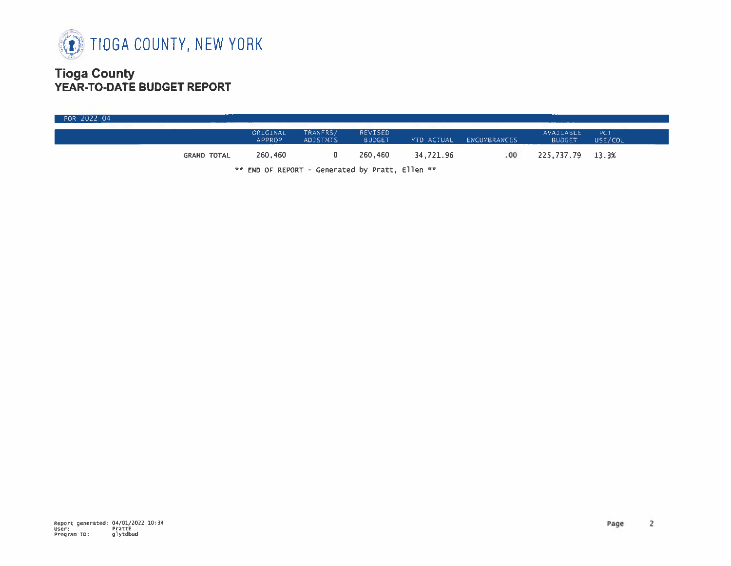

| FOR 2022 04 |                    |                    |                                                 |                                 |            |              |                            |                |
|-------------|--------------------|--------------------|-------------------------------------------------|---------------------------------|------------|--------------|----------------------------|----------------|
|             |                    | ORIGINAL<br>APPROP | TRANFRS/<br><b>ADJSTMTS</b>                     | <b>REVISED</b><br><b>BUDGET</b> | YTD ACTUAL | ENCUMBRANCES | AVAILABLE<br><b>BUDGET</b> | PCT<br>USE/COL |
|             | <b>GRAND TOTAL</b> | 260,460            |                                                 | 260,460                         | 34,721.96  | .00.         | 225,737.79 13.3%           |                |
|             |                    |                    | 00 FUB OF REBOOT - CANANAMA by BASES - Cllas 22 |                                 |            |              |                            |                |

\*\* END OF REPORT - Generated by Pratt, Ellen \*\*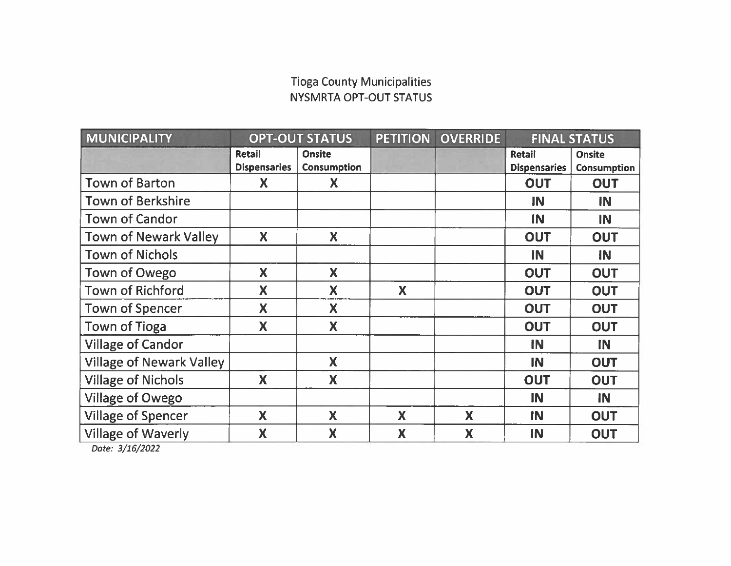## **Tioga County Municipalities** NYSMRTA OPT-OUT STATUS

| <b>MUNICIPALITY</b>             | <b>OPT-OUT STATUS</b>         |                                     | <b>PETITION</b> | <b>OVERRIDE</b> | <b>FINAL STATUS</b>           |                                     |
|---------------------------------|-------------------------------|-------------------------------------|-----------------|-----------------|-------------------------------|-------------------------------------|
|                                 | Retail<br><b>Dispensaries</b> | <b>Onsite</b><br><b>Consumption</b> |                 |                 | Retail<br><b>Dispensaries</b> | <b>Onsite</b><br><b>Consumption</b> |
| <b>Town of Barton</b>           | X                             | Χ                                   |                 |                 | <b>OUT</b>                    | OUT                                 |
| <b>Town of Berkshire</b>        |                               |                                     |                 |                 | IN                            | IN                                  |
| <b>Town of Candor</b>           |                               |                                     |                 |                 | IN                            | IN                                  |
| <b>Town of Newark Valley</b>    | X                             | <b>X</b>                            |                 |                 | <b>OUT</b>                    | <b>OUT</b>                          |
| <b>Town of Nichols</b>          |                               |                                     |                 |                 | IN                            | IN                                  |
| Town of Owego                   | X                             | X                                   |                 |                 | <b>OUT</b>                    | <b>OUT</b>                          |
| <b>Town of Richford</b>         | X                             | X                                   | X               |                 | <b>OUT</b>                    | <b>OUT</b>                          |
| <b>Town of Spencer</b>          | X                             | X                                   |                 |                 | <b>OUT</b>                    | <b>OUT</b>                          |
| <b>Town of Tioga</b>            | X                             | X                                   |                 |                 | <b>OUT</b>                    | <b>OUT</b>                          |
| <b>Village of Candor</b>        |                               |                                     |                 |                 | <b>IN</b>                     | IN                                  |
| <b>Village of Newark Valley</b> |                               | X                                   |                 |                 | IN                            | <b>OUT</b>                          |
| <b>Village of Nichols</b>       | X                             | X                                   |                 |                 | <b>OUT</b>                    | <b>OUT</b>                          |
| <b>Village of Owego</b>         |                               |                                     |                 |                 | <b>IN</b>                     | IN                                  |
| <b>Village of Spencer</b>       | X                             | X                                   | X               | X               | IN                            | <b>OUT</b>                          |
| <b>Village of Waverly</b>       | X                             | X                                   | X               | X               | IN                            | <b>OUT</b>                          |

Date: 3/16/2022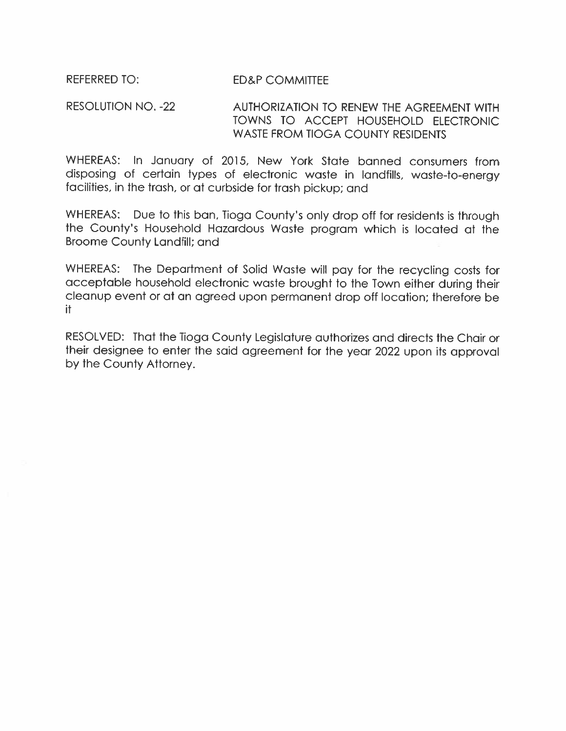**REFERRED TO: ED&P COMMITTEE** 

**RESOLUTION NO. -22** AUTHORIZATION TO RENEW THE AGREEMENT WITH TOWNS TO ACCEPT HOUSEHOLD ELECTRONIC **WASTE FROM TIOGA COUNTY RESIDENTS** 

WHEREAS: In January of 2015, New York State banned consumers from disposing of certain types of electronic waste in landfills, waste-to-energy facilities, in the trash, or at curbside for trash pickup; and

WHEREAS: Due to this ban, Tioga County's only drop off for residents is through the County's Household Hazardous Waste program which is located at the **Broome County Landfill; and** 

WHEREAS: The Department of Solid Waste will pay for the recycling costs for acceptable household electronic waste brought to the Town either during their cleanup event or at an agreed upon permanent drop off location; therefore be it.

RESOLVED: That the Tioga County Legislature authorizes and directs the Chair or their designee to enter the said agreement for the year 2022 upon its approval by the County Attorney.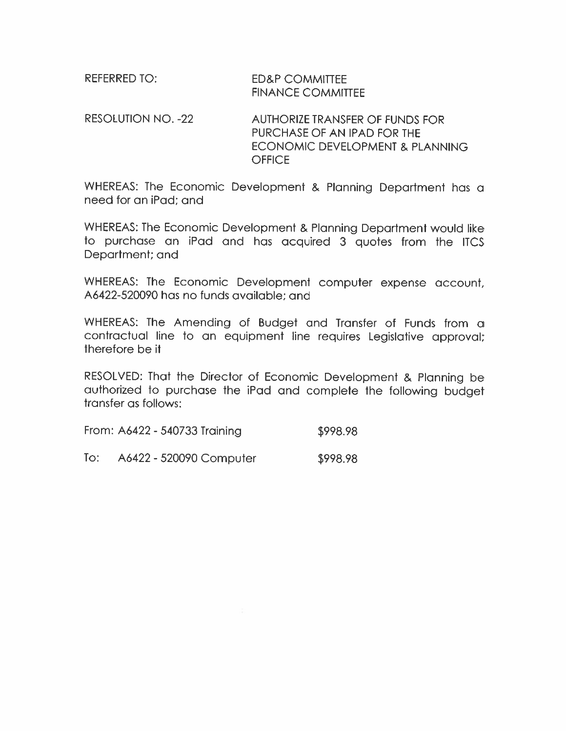| referred to: I | <b>ED&amp;P COMMITTEE</b> |
|----------------|---------------------------|
|                | <b>FINANCE COMMITTEE</b>  |

RESOLUTION NO. -22 **AUTHORIZE TRANSFER OF FUNDS FOR** PURCHASE OF AN IPAD FOR THE ECONOMIC DEVELOPMENT & PLANNING **OFFICE** 

WHEREAS: The Economic Development & Planning Department has a need for an iPad: and

WHEREAS: The Economic Development & Planning Department would like to purchase an iPad and has acquired 3 guotes from the ITCS Department; and

WHEREAS: The Economic Development computer expense account, A6422-520090 has no funds available: and

WHEREAS: The Amending of Budget and Transfer of Funds from a contractual line to an equipment line requires Legislative approval; therefore be it

RESOLVED: That the Director of Economic Development & Planning be authorized to purchase the iPad and complete the following budget transfer as follows:

From: A6422 - 540733 Training \$998.98

 $\overline{I}$ o: A6422 - 520090 Computer \$998.98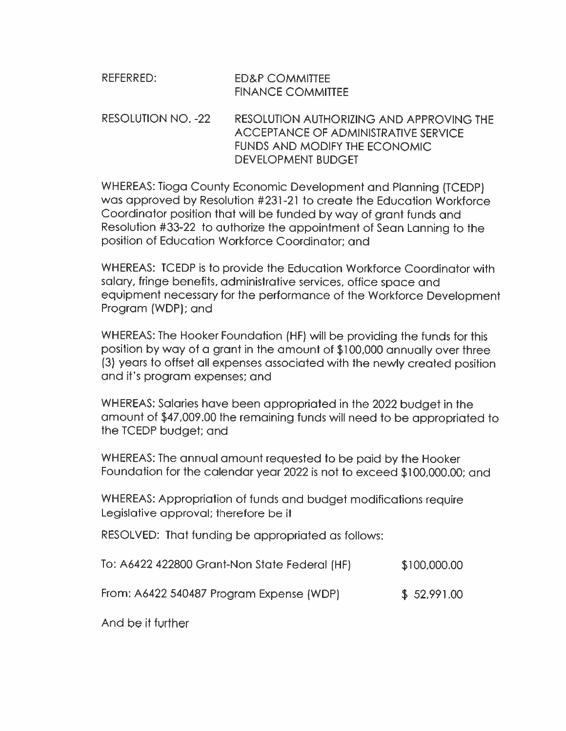| REFERRED: | <b>ED&amp;P COMMITTEE</b> |
|-----------|---------------------------|
|           | <b>FINANCE COMMITTEE</b>  |

#### RESOLUTION NO. -22 RESOLUTION AUTHORIZING AND APPROVING THE **ACCEPTANCE OF ADMINISTRATIVE SERVICE FUNDS AND MODIFY THE ECONOMIC DEVELOPMENT BUDGET**

WHEREAS: Tioga County Economic Development and Planning (TCEDP) was approved by Resolution #231-21 to create the Education Workforce Coordinator position that will be funded by way of grant funds and Resolution #33-22 to authorize the appointment of Sean Lanning to the position of Education Workforce Coordinator: and

WHEREAS: TCEDP is to provide the Education Workforce Coordinator with salary, fringe benefits, administrative services, office space and equipment necessary for the performance of the Workforce Development Program (WDP); and

WHEREAS: The Hooker Foundation (HF) will be providing the funds for this position by way of a grant in the amount of \$100,000 annually over three (3) years to offset all expenses associated with the newly created position and it's program expenses; and

WHEREAS: Salaries have been appropriated in the 2022 budget in the amount of \$47,009.00 the remaining funds will need to be appropriated to the TCEDP budget; and

WHEREAS: The annual amount requested to be paid by the Hooker Foundation for the calendar year 2022 is not to exceed \$100,000.00; and

WHEREAS: Appropriation of funds and budget modifications require Legislative approval; therefore be it

RESOLVED: That funding be appropriated as follows:

| To: A6422 422800 Grant-Non State Federal (HF) | \$100,000.00 |
|-----------------------------------------------|--------------|
| From: A6422 540487 Program Expense (WDP)      | \$52,991.00  |

And be if further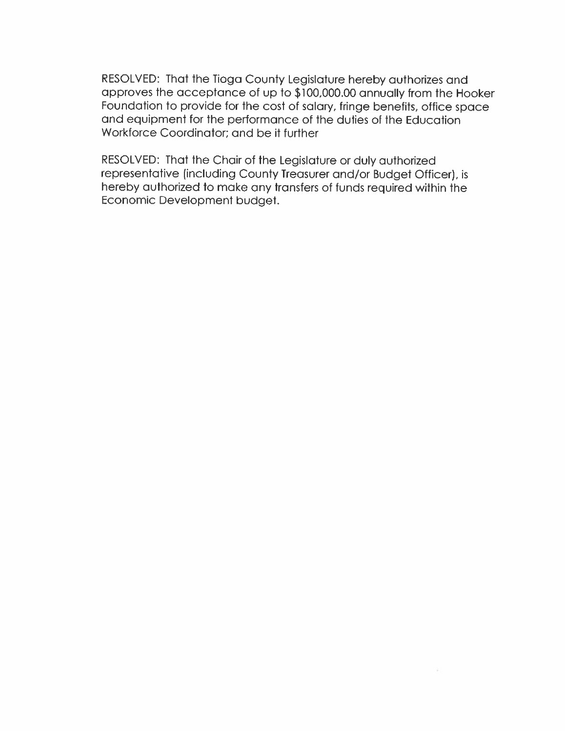RESOLVED: That the Tioga County Legislature hereby authorizes and approves the acceptance of up to \$100,000.00 annually from the Hooker Foundation to provide for the cost of salary, fringe benefits, office space and equipment for the performance of the duties of the Education Workforce Coordinator: and be it further

RESOLVED: That the Chair of the Legislature or duly authorized representative (including County Treasurer and/or Budget Officer), is hereby authorized to make any transfers of funds required within the Economic Development budget.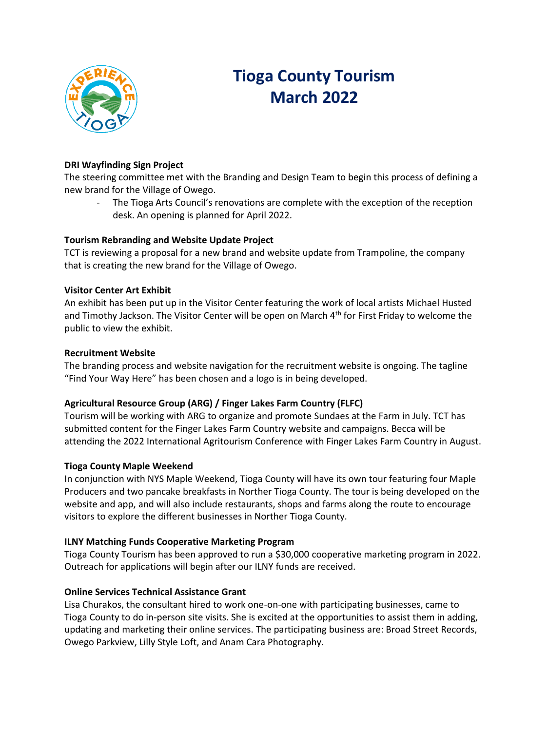

## **Tioga County Tourism March 2022**

### **DRI Wayfinding Sign Project**

The steering committee met with the Branding and Design Team to begin this process of defining a new brand for the Village of Owego.

The Tioga Arts Council's renovations are complete with the exception of the reception desk. An opening is planned for April 2022.

### **Tourism Rebranding and Website Update Project**

TCT is reviewing a proposal for a new brand and website update from Trampoline, the company that is creating the new brand for the Village of Owego.

### **Visitor Center Art Exhibit**

An exhibit has been put up in the Visitor Center featuring the work of local artists Michael Husted and Timothy Jackson. The Visitor Center will be open on March 4<sup>th</sup> for First Friday to welcome the public to view the exhibit.

#### **Recruitment Website**

The branding process and website navigation for the recruitment website is ongoing. The tagline "Find Your Way Here" has been chosen and a logo is in being developed.

### **Agricultural Resource Group (ARG) / Finger Lakes Farm Country (FLFC)**

Tourism will be working with ARG to organize and promote Sundaes at the Farm in July. TCT has submitted content for the Finger Lakes Farm Country website and campaigns. Becca will be attending the 2022 International Agritourism Conference with Finger Lakes Farm Country in August.

#### **Tioga County Maple Weekend**

In conjunction with NYS Maple Weekend, Tioga County will have its own tour featuring four Maple Producers and two pancake breakfasts in Norther Tioga County. The tour is being developed on the website and app, and will also include restaurants, shops and farms along the route to encourage visitors to explore the different businesses in Norther Tioga County.

### **ILNY Matching Funds Cooperative Marketing Program**

Tioga County Tourism has been approved to run a \$30,000 cooperative marketing program in 2022. Outreach for applications will begin after our ILNY funds are received.

### **Online Services Technical Assistance Grant**

Lisa Churakos, the consultant hired to work one-on-one with participating businesses, came to Tioga County to do in-person site visits. She is excited at the opportunities to assist them in adding, updating and marketing their online services. The participating business are: Broad Street Records, Owego Parkview, Lilly Style Loft, and Anam Cara Photography.